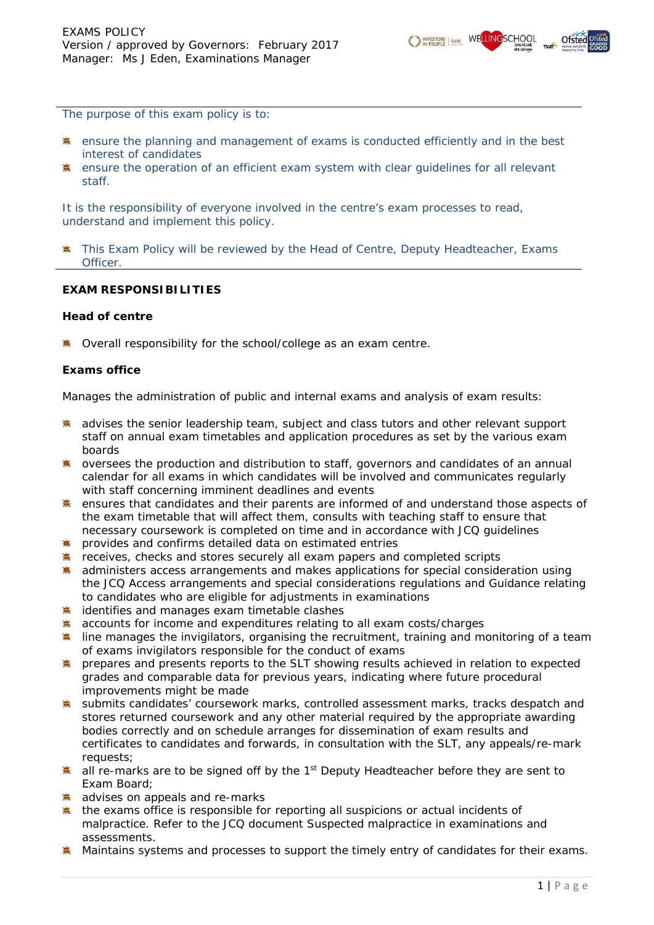

*The purpose of this exam policy is to:* 

- *ensure the planning and management of exams is conducted efficiently and in the best interest of candidates*
- *ensure the operation of an efficient exam system with clear guidelines for all relevant staff.*

*It is the responsibility of everyone involved in the centre's exam processes to read, understand and implement this policy.* 

*This Exam Policy will be reviewed by the Head of Centre, Deputy Headteacher, Exams*  寨 *Officer.*

### **EXAM RESPONSIBILITIES**

#### **Head of centre**

**\*** Overall responsibility for the school/college as an exam centre.

### **Exams office**

Manages the administration of public and internal exams and analysis of exam results:

- **\*** advises the senior leadership team, subject and class tutors and other relevant support staff on annual exam timetables and application procedures as set by the various exam boards
- \* oversees the production and distribution to staff, governors and candidates of an annual calendar for all exams in which candidates will be involved and communicates regularly with staff concerning imminent deadlines and events
- **\*** ensures that candidates and their parents are informed of and understand those aspects of the exam timetable that will affect them, consults with teaching staff to ensure that necessary coursework is completed on time and in accordance with JCQ guidelines
- **\*** provides and confirms detailed data on estimated entries
- **\*** receives, checks and stores securely all exam papers and completed scripts
- **\*** administers access arrangements and makes applications for special consideration using the JCQ *Access arrangements and special considerations regulations* and *Guidance relating to candidates who are eligible for adjustments in examinations*
- **\*** identifies and manages exam timetable clashes
- **\*** accounts for income and expenditures relating to all exam costs/charges
- **\*** line manages the invigilators, organising the recruitment, training and monitoring of a team of exams invigilators responsible for the conduct of exams
- **\*** prepares and presents reports to the SLT showing results achieved in relation to expected grades and comparable data for previous years, indicating where future procedural improvements might be made
- \* submits candidates' coursework marks, controlled assessment marks, tracks despatch and stores returned coursework and any other material required by the appropriate awarding bodies correctly and on schedule arranges for dissemination of exam results and certificates to candidates and forwards, in consultation with the SLT, any appeals/re-mark requests;
- all re-marks are to be signed off by the 1<sup>st</sup> Deputy Headteacher before they are sent to Exam Board;
- advises on appeals and re-marks
- the exams office is responsible for reporting all suspicions or actual incidents of malpractice. Refer to the JCQ document *Suspected malpractice in examinations and assessments*.
- Maintains systems and processes to support the timely entry of candidates for their exams.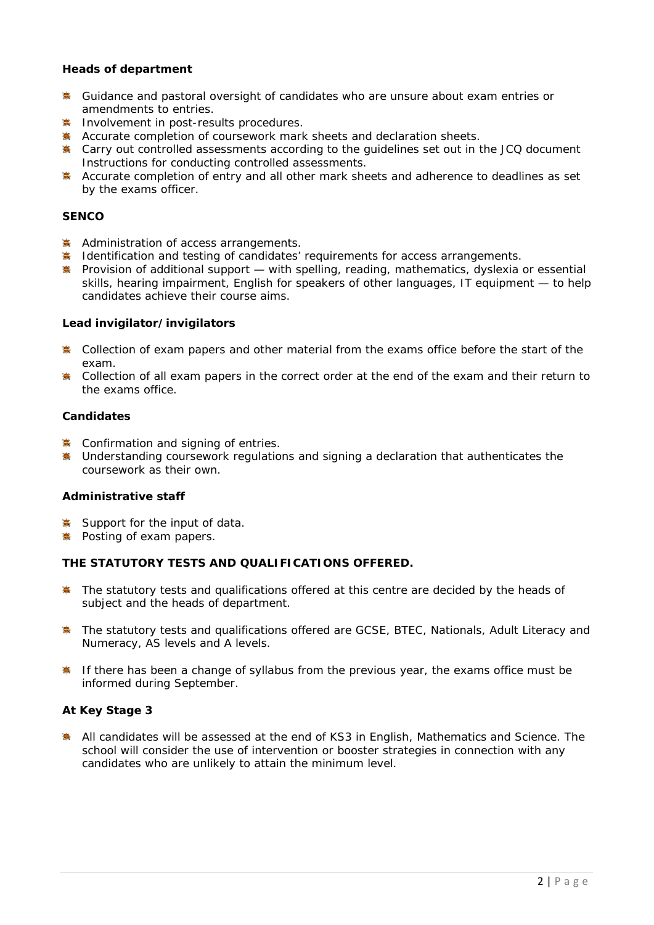## **Heads of department**

- Guidance and pastoral oversight of candidates who are unsure about exam entries or amendments to entries.
- **Involvement in post-results procedures.**
- Accurate completion of coursework mark sheets and declaration sheets.
- Carry out controlled assessments according to the guidelines set out in the JCQ document *Instructions for conducting controlled assessments.*
- Accurate completion of entry and all other mark sheets and adherence to deadlines as set by the exams officer.

## **SENCO**

- Administration of access arrangements.
- **EXALURE** Identification and testing of candidates' requirements for access arrangements.
- Provision of additional support with spelling, reading, mathematics, dyslexia or essential skills, hearing impairment, English for speakers of other languages, IT equipment — to help candidates achieve their course aims.

### **Lead invigilator/invigilators**

- **\*** Collection of exam papers and other material from the exams office before the start of the exam.
- **\*** Collection of all exam papers in the correct order at the end of the exam and their return to the exams office.

## **Candidates**

- $*$  Confirmation and signing of entries.
- **\*** Understanding coursework regulations and signing a declaration that authenticates the coursework as their own.

## **Administrative staff**

- Support for the input of data.
- Posting of exam papers.

## **THE STATUTORY TESTS AND QUALIFICATIONS OFFERED.**

- The statutory tests and qualifications offered at this centre are decided by the heads of 事 subject and the heads of department.
- The statutory tests and qualifications offered are GCSE, BTEC, Nationals, Adult Literacy and Numeracy, AS levels and A levels.
- If there has been a change of syllabus from the previous year, the exams office must be informed during September.

## **At Key Stage 3**

**All candidates will be assessed at the end of KS3 in English, Mathematics and Science. The** school will consider the use of intervention or booster strategies in connection with any candidates who are unlikely to attain the minimum level.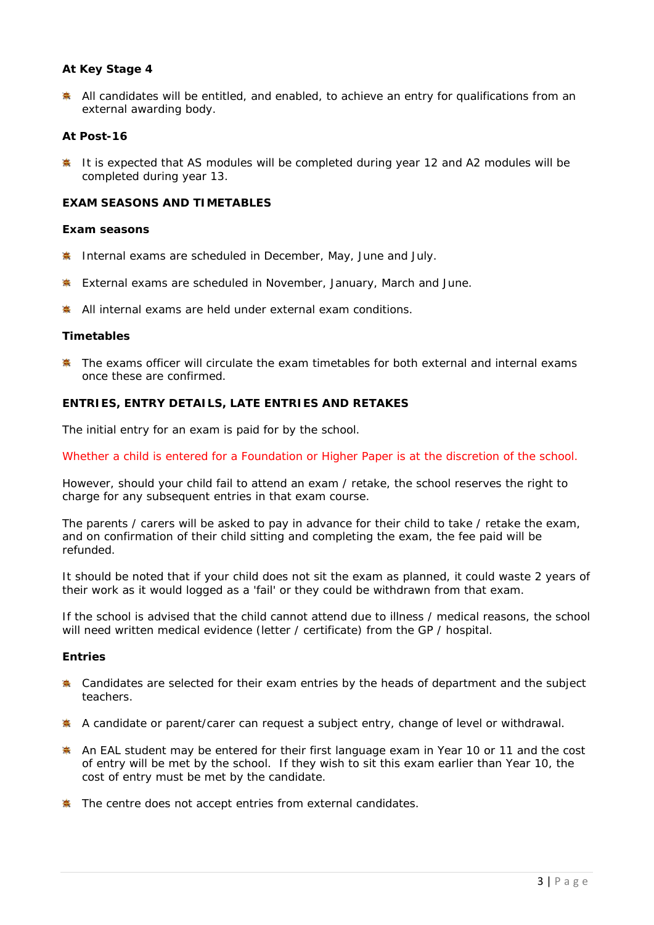## **At Key Stage 4**

 $*$  All candidates will be entitled, and enabled, to achieve an entry for qualifications from an external awarding body.

### **At Post-16**

**<sup>≢</sup>** It is expected that AS modules will be completed during year 12 and A2 modules will be completed during year 13.

## **EXAM SEASONS AND TIMETABLES**

#### **Exam seasons**

- **EXECUTE:** Internal exams are scheduled in December, May, June and July.
- **External exams are scheduled in November, January, March and June.**
- **※ All internal exams are held under external exam conditions.**

### **Timetables**

**The exams officer will circulate the exam timetables for both external and internal exams** once these are confirmed.

# **ENTRIES, ENTRY DETAILS, LATE ENTRIES AND RETAKES**

The initial entry for an exam is paid for by the school.

Whether a child is entered for a Foundation or Higher Paper is at the discretion of the school.

However, should your child fail to attend an exam / retake, the school reserves the right to charge for any subsequent entries in that exam course.

The parents / carers will be asked to pay in advance for their child to take / retake the exam, and on confirmation of their child sitting and completing the exam, the fee paid will be refunded.

It should be noted that if your child does not sit the exam as planned, it could waste 2 years of their work as it would logged as a 'fail' or they could be withdrawn from that exam.

If the school is advised that the child cannot attend due to illness / medical reasons, the school will need written medical evidence (letter / certificate) from the GP / hospital.

#### **Entries**

- **A** Candidates are selected for their exam entries by the heads of department and the subject teachers.
- A candidate or parent/carer can request a subject entry, change of level or withdrawal.
- An EAL student may be entered for their first language exam in Year 10 or 11 and the cost of entry will be met by the school. If they wish to sit this exam earlier than Year 10, the cost of entry must be met by the candidate.
- **WE** The centre does not accept entries from external candidates.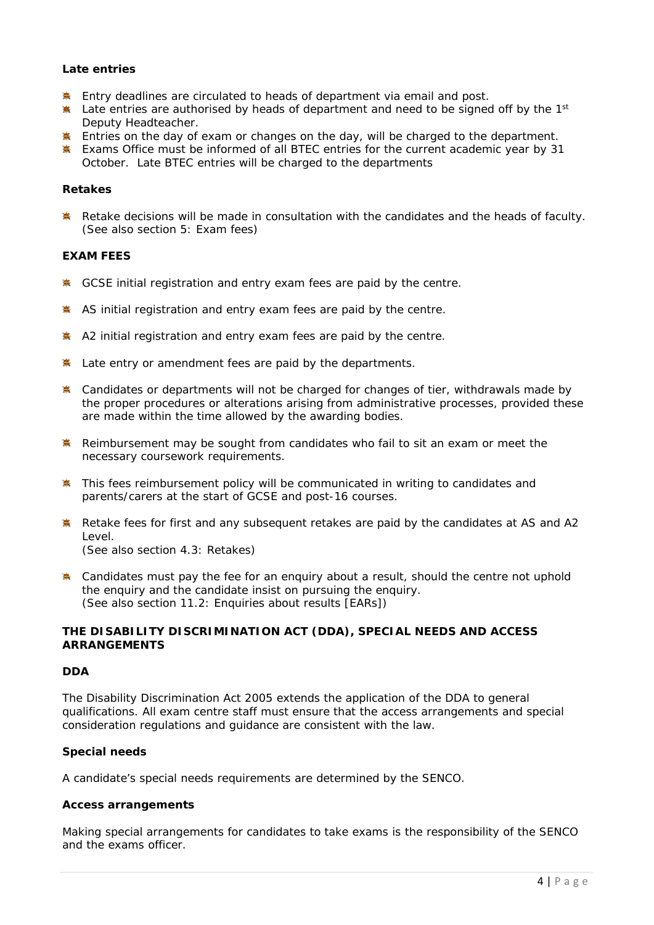## **Late entries**

- **Entry deadlines are circulated to heads of department via email and post.**
- Late entries are authorised by heads of department and need to be signed off by the 1<sup>st</sup> Deputy Headteacher.
- Entries on the day of exam or changes on the day, will be charged to the department.
- **Exams Office must be informed of all BTEC entries for the current academic year by 31** October. Late BTEC entries will be charged to the departments

## **Retakes**

**K** Retake decisions will be made in consultation with the candidates and the heads of faculty. (See also section 5: Exam fees)

### **EXAM FEES**

- GCSE initial registration and entry exam fees are paid by the centre.
- AS initial registration and entry exam fees are paid by the centre.
- A2 initial registration and entry exam fees are paid by the centre.
- Extementry or amendment fees are paid by the departments.
- E Candidates or departments will not be charged for changes of tier, withdrawals made by the proper procedures or alterations arising from administrative processes, provided these are made within the time allowed by the awarding bodies.
- **K** Reimbursement may be sought from candidates who fail to sit an exam or meet the necessary coursework requirements.
- **\*** This fees reimbursement policy will be communicated in writing to candidates and parents/carers at the start of GCSE and post-16 courses.
- **K** Retake fees for first and any subsequent retakes are paid by the candidates at AS and A2 Level. (See also section 4.3: Retakes)
- **EX** Candidates must pay the fee for an enquiry about a result, should the centre not uphold the enquiry and the candidate insist on pursuing the enquiry. (See also section 11.2: Enquiries about results [EARs])

## **THE DISABILITY DISCRIMINATION ACT (DDA), SPECIAL NEEDS AND ACCESS ARRANGEMENTS**

## **DDA**

The Disability Discrimination Act 2005 extends the application of the DDA to general qualifications. All exam centre staff must ensure that the access arrangements and special consideration regulations and guidance are consistent with the law.

## **Special needs**

A candidate's special needs requirements are determined by the SENCO.

#### **Access arrangements**

Making special arrangements for candidates to take exams is the responsibility of the SENCO and the exams officer.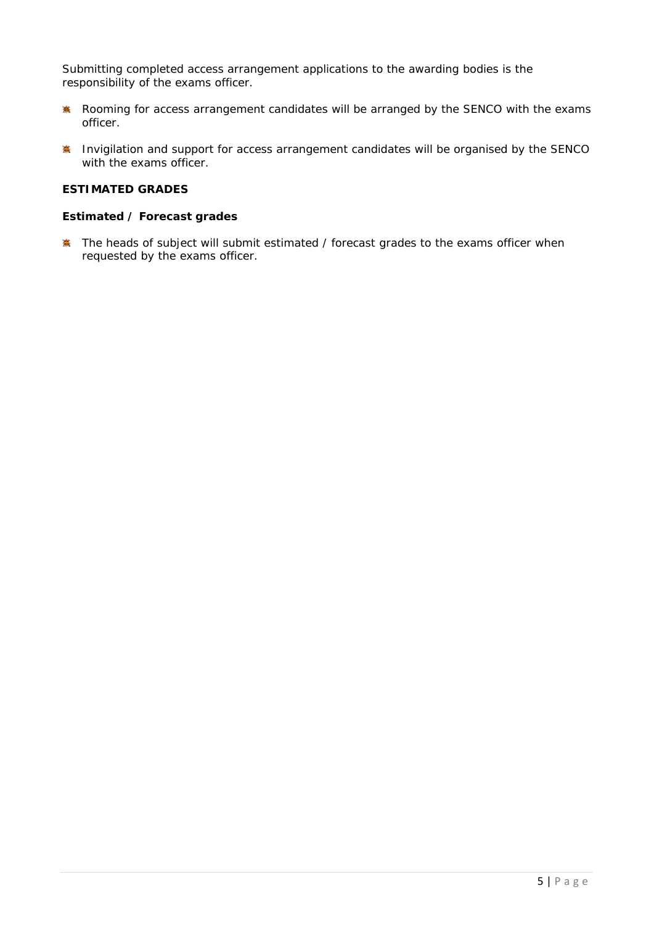Submitting completed access arrangement applications to the awarding bodies is the responsibility of the exams officer.

- Rooming for access arrangement candidates will be arranged by the SENCO with the exams 養 officer.
- **IN** Invigilation and support for access arrangement candidates will be organised by the SENCO with the exams officer.

## **ESTIMATED GRADES**

### **Estimated / Forecast grades**

**The heads of subject will submit estimated / forecast grades to the exams officer when** requested by the exams officer.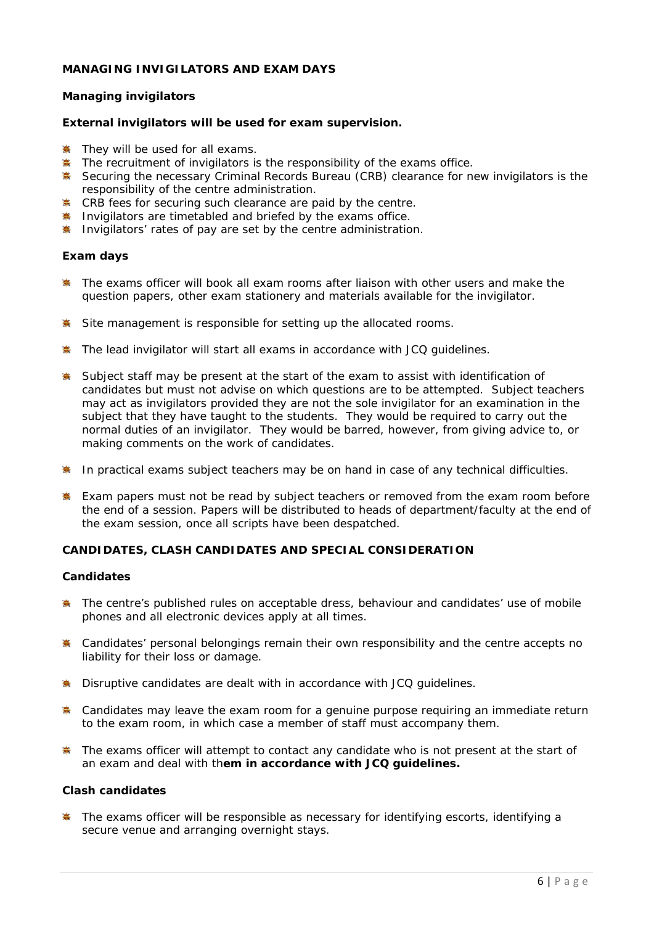## **MANAGING INVIGILATORS AND EXAM DAYS**

## **Managing invigilators**

### **External invigilators will be used for exam supervision.**

- **They will be used for all exams.**
- $*$  The recruitment of invigilators is the responsibility of the exams office.
- Securing the necessary Criminal Records Bureau (CRB) clearance for new invigilators is the responsibility of the centre administration.
- **EXECRB** fees for securing such clearance are paid by the centre.
- **Invigilators are timetabled and briefed by the exams office.**
- **Invigilators' rates of pay are set by the centre administration.**

### **Exam days**

- **The exams officer will book all exam rooms after liaison with other users and make the** question papers, other exam stationery and materials available for the invigilator.
- Site management is responsible for setting up the allocated rooms.
- **The lead invigilator will start all exams in accordance with JCQ quidelines.**
- **Subject staff may be present at the start of the exam to assist with identification of** candidates but must not advise on which questions are to be attempted. Subject teachers may act as invigilators provided they are not the sole invigilator for an examination in the subject that they have taught to the students. They would be required to carry out the normal duties of an invigilator. They would be barred, however, from giving advice to, or making comments on the work of candidates.
- **I** In practical exams subject teachers may be on hand in case of any technical difficulties.
- **Exam papers must not be read by subject teachers or removed from the exam room before** the end of a session. Papers will be distributed to heads of department/faculty at the end of the exam session, once all scripts have been despatched.

# **CANDIDATES, CLASH CANDIDATES AND SPECIAL CONSIDERATION**

#### **Candidates**

- **The centre's published rules on acceptable dress, behaviour and candidates' use of mobile** phones and all electronic devices apply at all times.
- **\*** Candidates' personal belongings remain their own responsibility and the centre accepts no liability for their loss or damage.
- **EX** Disruptive candidates are dealt with in accordance with JCQ quidelines.
- **\*** Candidates may leave the exam room for a genuine purpose requiring an immediate return to the exam room, in which case a member of staff must accompany them.
- **\*** The exams officer will attempt to contact any candidate who is not present at the start of an exam and deal with th**em in accordance with JCQ guidelines.**

#### **Clash candidates**

**The exams officer will be responsible as necessary for identifying escorts, identifying a** secure venue and arranging overnight stays.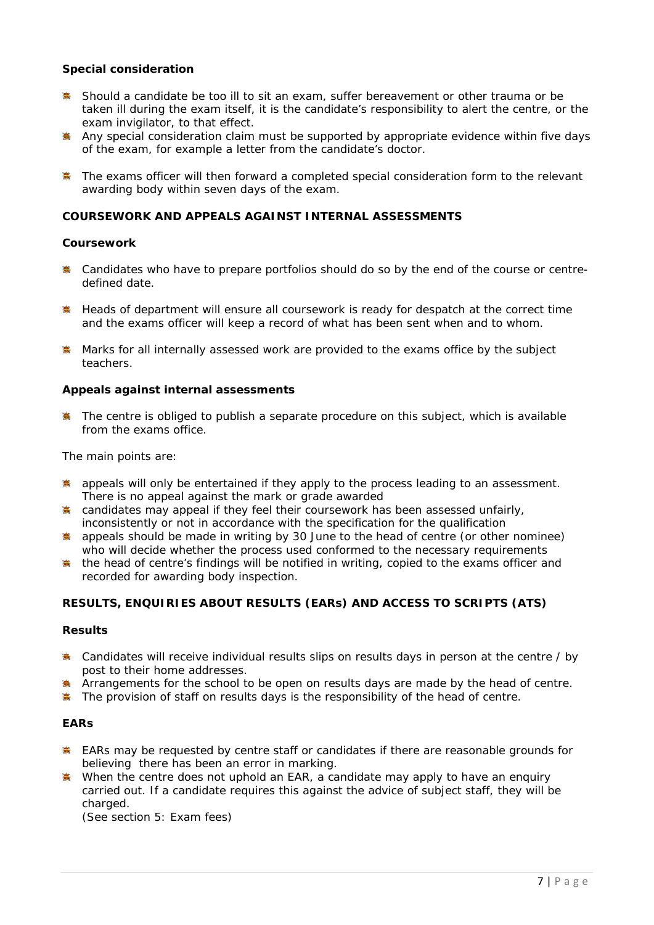## **Special consideration**

- **\*** Should a candidate be too ill to sit an exam, suffer bereavement or other trauma or be taken ill during the exam itself, it is the candidate's responsibility to alert the centre, or the exam invigilator, to that effect.
- Any special consideration claim must be supported by appropriate evidence within five days of the exam, for example a letter from the candidate's doctor.
- **The exams officer will then forward a completed special consideration form to the relevant** awarding body within seven days of the exam.

### **COURSEWORK AND APPEALS AGAINST INTERNAL ASSESSMENTS**

### **Coursework**

- E Candidates who have to prepare portfolios should do so by the end of the course or centredefined date.
- **K** Heads of department will ensure all coursework is ready for despatch at the correct time and the exams officer will keep a record of what has been sent when and to whom.
- **K** Marks for all internally assessed work are provided to the exams office by the subject teachers.

### **Appeals against internal assessments**

The centre is obliged to publish a separate procedure on this subject, which is available from the exams office.

The main points are:

- **A** appeals will only be entertained if they apply to the process leading to an assessment. There is no appeal against the mark or grade awarded
- exteed candidates may appeal if they feel their coursework has been assessed unfairly, inconsistently or not in accordance with the specification for the qualification
- **●** appeals should be made in writing by 30 June to the head of centre (or other nominee) who will decide whether the process used conformed to the necessary requirements
- $*$  the head of centre's findings will be notified in writing, copied to the exams officer and recorded for awarding body inspection.

## **RESULTS, ENQUIRIES ABOUT RESULTS (EARs) AND ACCESS TO SCRIPTS (ATS)**

#### **Results**

- **A** Candidates will receive individual results slips on results days in person at the centre / by post to their home addresses.
- Arrangements for the school to be open on results days are made by the head of centre.
- $*$  The provision of staff on results days is the responsibility of the head of centre.

### **EARs**

- EARs may be requested by centre staff or candidates if there are reasonable grounds for believing there has been an error in marking.
- When the centre does not uphold an EAR, a candidate may apply to have an enquiry carried out. If a candidate requires this against the advice of subject staff, they will be charged.

(See section 5: Exam fees)